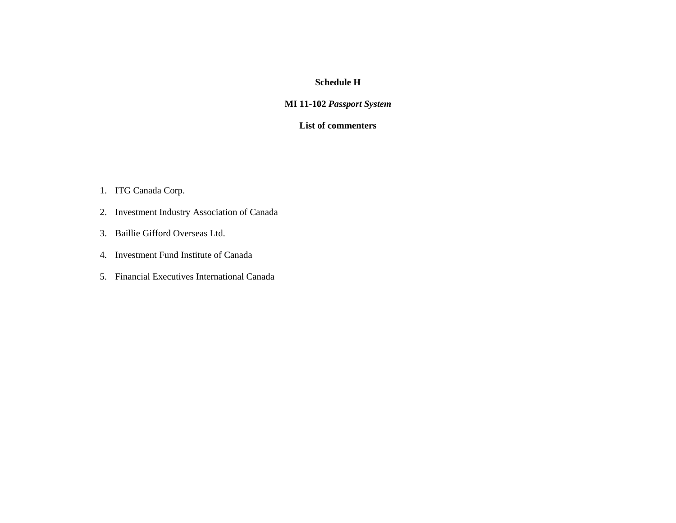## **Schedule H**

## **MI 11-102** *Passport System*

## **List of commenters**

- 1. ITG Canada Corp.
- 2. Investment Industry Association of Canada
- 3. Baillie Gifford Overseas Ltd.
- 4. Investment Fund Institute of Canada
- 5. Financial Executives International Canada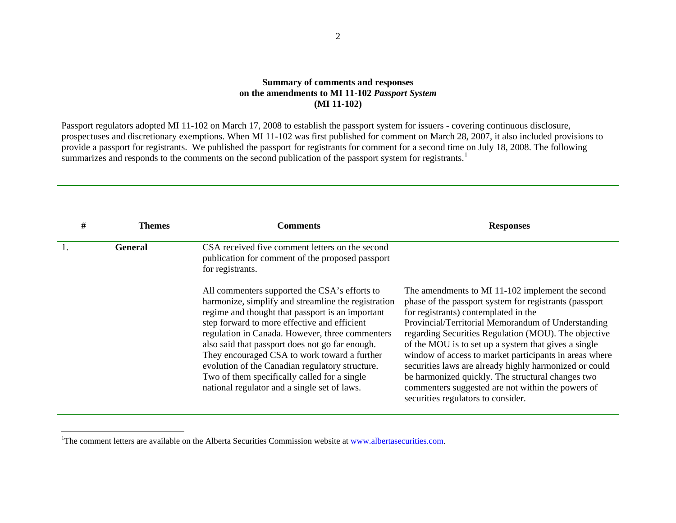## **Summary of comments and responses on the amendments to MI 11-102** *Passport System* **(MI 11-102)**

Passport regulators adopted MI 11-102 on March 17, 2008 to establish the passport system for issuers - covering continuous disclosure, prospectuses and discretionary exemptions. When MI 11-102 was first published for comment on March 28, 2007, it also included provisions to provide a passport for registrants. We published the passport for registrants for comment for a second time on July 18, 2008. The following summarizes and responds to the comments on the second publication of the passport system for registrants.<sup>[1](#page-1-0)</sup>

| # | Themes  | Comments                                                                                                                                                                                                                                                                                                                                                                                                                                                                                                          | <b>Responses</b>                                                                                                                                                                                                                                                                                                                                                                                                                                                                                                                                                                             |
|---|---------|-------------------------------------------------------------------------------------------------------------------------------------------------------------------------------------------------------------------------------------------------------------------------------------------------------------------------------------------------------------------------------------------------------------------------------------------------------------------------------------------------------------------|----------------------------------------------------------------------------------------------------------------------------------------------------------------------------------------------------------------------------------------------------------------------------------------------------------------------------------------------------------------------------------------------------------------------------------------------------------------------------------------------------------------------------------------------------------------------------------------------|
|   | General | CSA received five comment letters on the second<br>publication for comment of the proposed passport<br>for registrants.                                                                                                                                                                                                                                                                                                                                                                                           |                                                                                                                                                                                                                                                                                                                                                                                                                                                                                                                                                                                              |
|   |         | All commenters supported the CSA's efforts to<br>harmonize, simplify and streamline the registration<br>regime and thought that passport is an important<br>step forward to more effective and efficient<br>regulation in Canada. However, three commenters<br>also said that passport does not go far enough.<br>They encouraged CSA to work toward a further<br>evolution of the Canadian regulatory structure.<br>Two of them specifically called for a single<br>national regulator and a single set of laws. | The amendments to MI 11-102 implement the second<br>phase of the passport system for registrants (passport<br>for registrants) contemplated in the<br>Provincial/Territorial Memorandum of Understanding<br>regarding Securities Regulation (MOU). The objective<br>of the MOU is to set up a system that gives a single<br>window of access to market participants in areas where<br>securities laws are already highly harmonized or could<br>be harmonized quickly. The structural changes two<br>commenters suggested are not within the powers of<br>securities regulators to consider. |

<span id="page-1-0"></span><sup>&</sup>lt;sup>1</sup>The comment letters are available on the Alberta Securities Commission website at www.albertasecurities.com.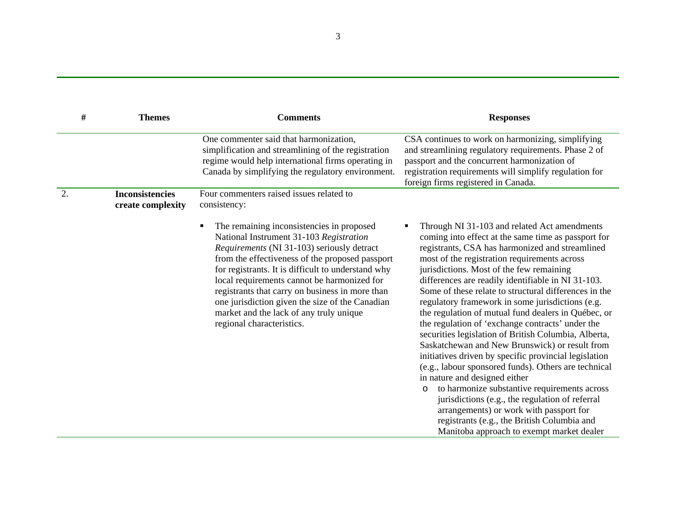| #  | <b>Themes</b>                               | <b>Comments</b>                                                                                                                                                                                                                                                                                                                                                                                                                                                          | <b>Responses</b>                                                                                                                                                                                                                                                                                                                                                                                                                                                                                                                                                                                                                                                                                                                                                                                                                                                                                                                                                                                                                                  |
|----|---------------------------------------------|--------------------------------------------------------------------------------------------------------------------------------------------------------------------------------------------------------------------------------------------------------------------------------------------------------------------------------------------------------------------------------------------------------------------------------------------------------------------------|---------------------------------------------------------------------------------------------------------------------------------------------------------------------------------------------------------------------------------------------------------------------------------------------------------------------------------------------------------------------------------------------------------------------------------------------------------------------------------------------------------------------------------------------------------------------------------------------------------------------------------------------------------------------------------------------------------------------------------------------------------------------------------------------------------------------------------------------------------------------------------------------------------------------------------------------------------------------------------------------------------------------------------------------------|
|    |                                             | One commenter said that harmonization,<br>simplification and streamlining of the registration<br>regime would help international firms operating in<br>Canada by simplifying the regulatory environment.                                                                                                                                                                                                                                                                 | CSA continues to work on harmonizing, simplifying<br>and streamlining regulatory requirements. Phase 2 of<br>passport and the concurrent harmonization of<br>registration requirements will simplify regulation for<br>foreign firms registered in Canada.                                                                                                                                                                                                                                                                                                                                                                                                                                                                                                                                                                                                                                                                                                                                                                                        |
| 2. | <b>Inconsistencies</b><br>create complexity | Four commenters raised issues related to<br>consistency:                                                                                                                                                                                                                                                                                                                                                                                                                 |                                                                                                                                                                                                                                                                                                                                                                                                                                                                                                                                                                                                                                                                                                                                                                                                                                                                                                                                                                                                                                                   |
|    |                                             | The remaining inconsistencies in proposed<br>National Instrument 31-103 Registration<br>Requirements (NI 31-103) seriously detract<br>from the effectiveness of the proposed passport<br>for registrants. It is difficult to understand why<br>local requirements cannot be harmonized for<br>registrants that carry on business in more than<br>one jurisdiction given the size of the Canadian<br>market and the lack of any truly unique<br>regional characteristics. | Through NI 31-103 and related Act amendments<br>coming into effect at the same time as passport for<br>registrants, CSA has harmonized and streamlined<br>most of the registration requirements across<br>jurisdictions. Most of the few remaining<br>differences are readily identifiable in NI 31-103.<br>Some of these relate to structural differences in the<br>regulatory framework in some jurisdictions (e.g.<br>the regulation of mutual fund dealers in Québec, or<br>the regulation of 'exchange contracts' under the<br>securities legislation of British Columbia, Alberta,<br>Saskatchewan and New Brunswick) or result from<br>initiatives driven by specific provincial legislation<br>(e.g., labour sponsored funds). Others are technical<br>in nature and designed either<br>to harmonize substantive requirements across<br>$\circ$<br>jurisdictions (e.g., the regulation of referral<br>arrangements) or work with passport for<br>registrants (e.g., the British Columbia and<br>Manitoba approach to exempt market dealer |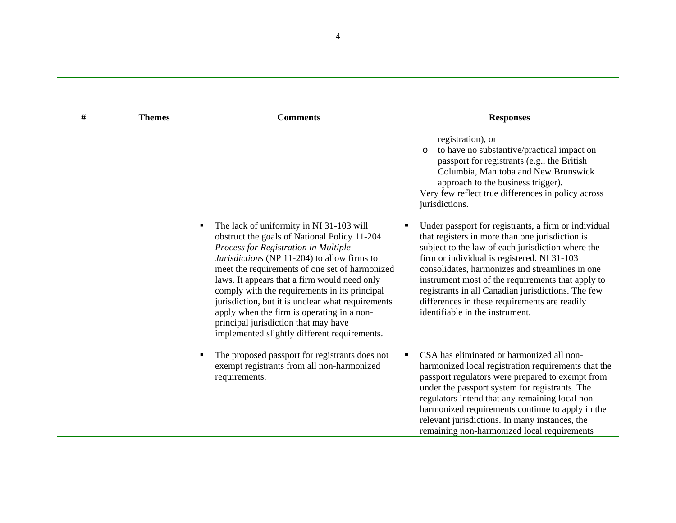| # | <b>Themes</b> | <b>Comments</b>                                                                                                                                                                                                                                                                                                                                                                                                                                                                                                               |   | <b>Responses</b>                                                                                                                                                                                                                                                                                                                                                                                                                                              |
|---|---------------|-------------------------------------------------------------------------------------------------------------------------------------------------------------------------------------------------------------------------------------------------------------------------------------------------------------------------------------------------------------------------------------------------------------------------------------------------------------------------------------------------------------------------------|---|---------------------------------------------------------------------------------------------------------------------------------------------------------------------------------------------------------------------------------------------------------------------------------------------------------------------------------------------------------------------------------------------------------------------------------------------------------------|
|   |               |                                                                                                                                                                                                                                                                                                                                                                                                                                                                                                                               |   | registration), or<br>to have no substantive/practical impact on<br>O<br>passport for registrants (e.g., the British<br>Columbia, Manitoba and New Brunswick<br>approach to the business trigger).<br>Very few reflect true differences in policy across<br>jurisdictions.                                                                                                                                                                                     |
|   | ٠             | The lack of uniformity in NI 31-103 will<br>obstruct the goals of National Policy 11-204<br>Process for Registration in Multiple<br>Jurisdictions (NP 11-204) to allow firms to<br>meet the requirements of one set of harmonized<br>laws. It appears that a firm would need only<br>comply with the requirements in its principal<br>jurisdiction, but it is unclear what requirements<br>apply when the firm is operating in a non-<br>principal jurisdiction that may have<br>implemented slightly different requirements. | ٠ | Under passport for registrants, a firm or individual<br>that registers in more than one jurisdiction is<br>subject to the law of each jurisdiction where the<br>firm or individual is registered. NI 31-103<br>consolidates, harmonizes and streamlines in one<br>instrument most of the requirements that apply to<br>registrants in all Canadian jurisdictions. The few<br>differences in these requirements are readily<br>identifiable in the instrument. |
|   |               | The proposed passport for registrants does not<br>exempt registrants from all non-harmonized<br>requirements.                                                                                                                                                                                                                                                                                                                                                                                                                 | ٠ | CSA has eliminated or harmonized all non-<br>harmonized local registration requirements that the<br>passport regulators were prepared to exempt from<br>under the passport system for registrants. The<br>regulators intend that any remaining local non-<br>harmonized requirements continue to apply in the<br>relevant jurisdictions. In many instances, the<br>remaining non-harmonized local requirements                                                |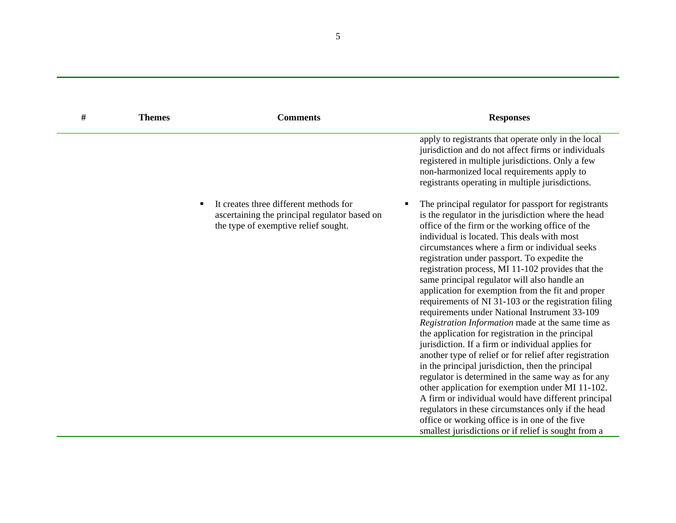| # | <b>Themes</b> | <b>Comments</b>                                                                                                                                   | <b>Responses</b>                                                                                                                                                                                                                                                                                                                                                                                                                                                                                                                                                                                                                                                                                                                                                                                                                                                                                                                                                                                                                                                                                                                                                                                        |
|---|---------------|---------------------------------------------------------------------------------------------------------------------------------------------------|---------------------------------------------------------------------------------------------------------------------------------------------------------------------------------------------------------------------------------------------------------------------------------------------------------------------------------------------------------------------------------------------------------------------------------------------------------------------------------------------------------------------------------------------------------------------------------------------------------------------------------------------------------------------------------------------------------------------------------------------------------------------------------------------------------------------------------------------------------------------------------------------------------------------------------------------------------------------------------------------------------------------------------------------------------------------------------------------------------------------------------------------------------------------------------------------------------|
|   |               |                                                                                                                                                   | apply to registrants that operate only in the local<br>jurisdiction and do not affect firms or individuals<br>registered in multiple jurisdictions. Only a few<br>non-harmonized local requirements apply to<br>registrants operating in multiple jurisdictions.                                                                                                                                                                                                                                                                                                                                                                                                                                                                                                                                                                                                                                                                                                                                                                                                                                                                                                                                        |
|   |               | It creates three different methods for<br>$\blacksquare$<br>ascertaining the principal regulator based on<br>the type of exemptive relief sought. | The principal regulator for passport for registrants<br>п<br>is the regulator in the jurisdiction where the head<br>office of the firm or the working office of the<br>individual is located. This deals with most<br>circumstances where a firm or individual seeks<br>registration under passport. To expedite the<br>registration process, MI 11-102 provides that the<br>same principal regulator will also handle an<br>application for exemption from the fit and proper<br>requirements of NI 31-103 or the registration filing<br>requirements under National Instrument 33-109<br>Registration Information made at the same time as<br>the application for registration in the principal<br>jurisdiction. If a firm or individual applies for<br>another type of relief or for relief after registration<br>in the principal jurisdiction, then the principal<br>regulator is determined in the same way as for any<br>other application for exemption under MI 11-102.<br>A firm or individual would have different principal<br>regulators in these circumstances only if the head<br>office or working office is in one of the five<br>smallest jurisdictions or if relief is sought from a |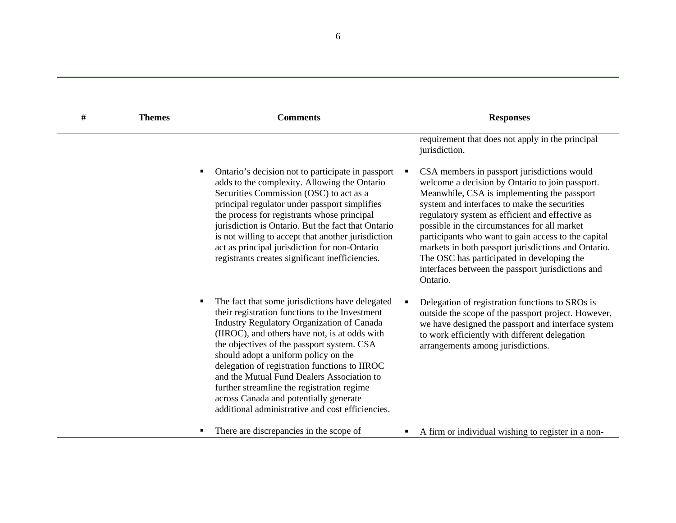| $\#$ | <b>Themes</b> | <b>Comments</b>                                                                                                                                                                                                                                                                                                                                                                                                                                                                                                                        | <b>Responses</b>                                                                                                                                                                                                                                                                                                                                                                                                                                                                                                              |
|------|---------------|----------------------------------------------------------------------------------------------------------------------------------------------------------------------------------------------------------------------------------------------------------------------------------------------------------------------------------------------------------------------------------------------------------------------------------------------------------------------------------------------------------------------------------------|-------------------------------------------------------------------------------------------------------------------------------------------------------------------------------------------------------------------------------------------------------------------------------------------------------------------------------------------------------------------------------------------------------------------------------------------------------------------------------------------------------------------------------|
|      |               |                                                                                                                                                                                                                                                                                                                                                                                                                                                                                                                                        | requirement that does not apply in the principal<br>jurisdiction.                                                                                                                                                                                                                                                                                                                                                                                                                                                             |
|      |               | Ontario's decision not to participate in passport<br>٠<br>adds to the complexity. Allowing the Ontario<br>Securities Commission (OSC) to act as a<br>principal regulator under passport simplifies<br>the process for registrants whose principal<br>jurisdiction is Ontario. But the fact that Ontario<br>is not willing to accept that another jurisdiction<br>act as principal jurisdiction for non-Ontario<br>registrants creates significant inefficiencies.                                                                      | CSA members in passport jurisdictions would<br>welcome a decision by Ontario to join passport.<br>Meanwhile, CSA is implementing the passport<br>system and interfaces to make the securities<br>regulatory system as efficient and effective as<br>possible in the circumstances for all market<br>participants who want to gain access to the capital<br>markets in both passport jurisdictions and Ontario.<br>The OSC has participated in developing the<br>interfaces between the passport jurisdictions and<br>Ontario. |
|      |               | The fact that some jurisdictions have delegated<br>٠<br>their registration functions to the Investment<br>Industry Regulatory Organization of Canada<br>(IIROC), and others have not, is at odds with<br>the objectives of the passport system. CSA<br>should adopt a uniform policy on the<br>delegation of registration functions to IIROC<br>and the Mutual Fund Dealers Association to<br>further streamline the registration regime<br>across Canada and potentially generate<br>additional administrative and cost efficiencies. | Delegation of registration functions to SROs is<br>outside the scope of the passport project. However,<br>we have designed the passport and interface system<br>to work efficiently with different delegation<br>arrangements among jurisdictions.                                                                                                                                                                                                                                                                            |
|      |               | There are discrepancies in the scope of<br>٠                                                                                                                                                                                                                                                                                                                                                                                                                                                                                           | A firm or individual wishing to register in a non-                                                                                                                                                                                                                                                                                                                                                                                                                                                                            |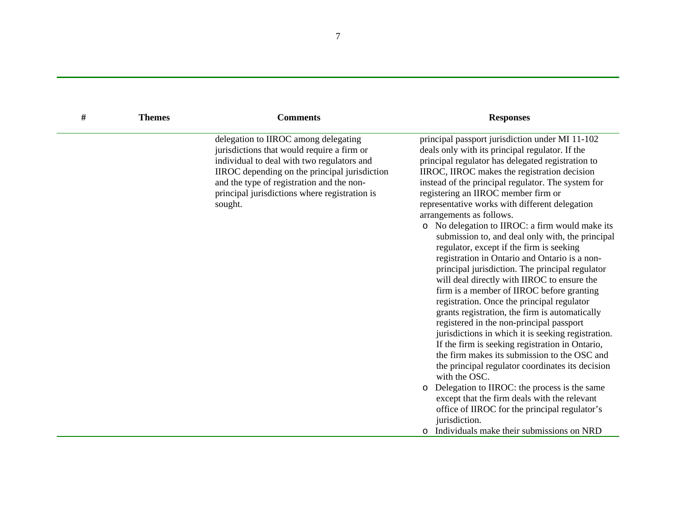| # | <b>Themes</b> | <b>Comments</b>                                                                                                                                                                                                                                                                            | <b>Responses</b>                                                                                                                                                                                                                                                                                                                                                                                                                                                                                                                                                                                                                                                                                                                                                                                                                                                                                                                                                                                                                                                                                                                                                                                                                                                                                                                   |
|---|---------------|--------------------------------------------------------------------------------------------------------------------------------------------------------------------------------------------------------------------------------------------------------------------------------------------|------------------------------------------------------------------------------------------------------------------------------------------------------------------------------------------------------------------------------------------------------------------------------------------------------------------------------------------------------------------------------------------------------------------------------------------------------------------------------------------------------------------------------------------------------------------------------------------------------------------------------------------------------------------------------------------------------------------------------------------------------------------------------------------------------------------------------------------------------------------------------------------------------------------------------------------------------------------------------------------------------------------------------------------------------------------------------------------------------------------------------------------------------------------------------------------------------------------------------------------------------------------------------------------------------------------------------------|
|   |               | delegation to IIROC among delegating<br>jurisdictions that would require a firm or<br>individual to deal with two regulators and<br>IIROC depending on the principal jurisdiction<br>and the type of registration and the non-<br>principal jurisdictions where registration is<br>sought. | principal passport jurisdiction under MI 11-102<br>deals only with its principal regulator. If the<br>principal regulator has delegated registration to<br>IIROC, IIROC makes the registration decision<br>instead of the principal regulator. The system for<br>registering an IIROC member firm or<br>representative works with different delegation<br>arrangements as follows.<br>o No delegation to IIROC: a firm would make its<br>submission to, and deal only with, the principal<br>regulator, except if the firm is seeking<br>registration in Ontario and Ontario is a non-<br>principal jurisdiction. The principal regulator<br>will deal directly with IIROC to ensure the<br>firm is a member of IIROC before granting<br>registration. Once the principal regulator<br>grants registration, the firm is automatically<br>registered in the non-principal passport<br>jurisdictions in which it is seeking registration.<br>If the firm is seeking registration in Ontario,<br>the firm makes its submission to the OSC and<br>the principal regulator coordinates its decision<br>with the OSC.<br>o Delegation to IIROC: the process is the same<br>except that the firm deals with the relevant<br>office of IIROC for the principal regulator's<br>jurisdiction.<br>o Individuals make their submissions on NRD |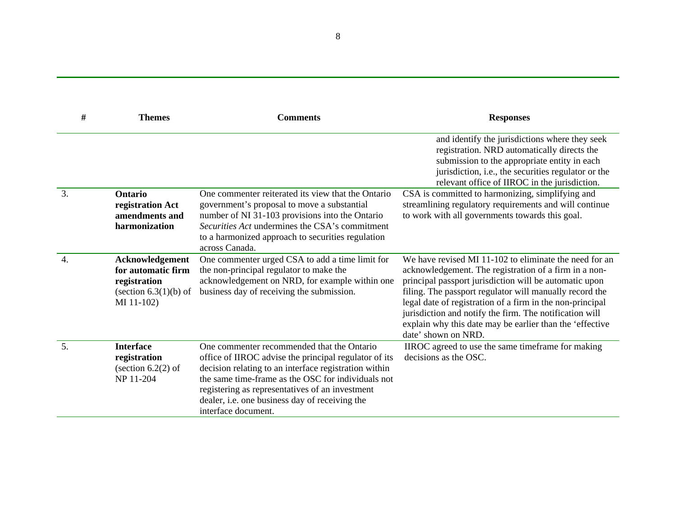| #                | <b>Themes</b>                                                                                  | <b>Comments</b>                                                                                                                                                                                                                                                                                                                                | <b>Responses</b>                                                                                                                                                                                                                                                                                                                                                                                                                                |
|------------------|------------------------------------------------------------------------------------------------|------------------------------------------------------------------------------------------------------------------------------------------------------------------------------------------------------------------------------------------------------------------------------------------------------------------------------------------------|-------------------------------------------------------------------------------------------------------------------------------------------------------------------------------------------------------------------------------------------------------------------------------------------------------------------------------------------------------------------------------------------------------------------------------------------------|
|                  |                                                                                                |                                                                                                                                                                                                                                                                                                                                                | and identify the jurisdictions where they seek<br>registration. NRD automatically directs the<br>submission to the appropriate entity in each<br>jurisdiction, i.e., the securities regulator or the<br>relevant office of IIROC in the jurisdiction.                                                                                                                                                                                           |
| 3.               | <b>Ontario</b><br>registration Act<br>amendments and<br>harmonization                          | One commenter reiterated its view that the Ontario<br>government's proposal to move a substantial<br>number of NI 31-103 provisions into the Ontario<br>Securities Act undermines the CSA's commitment<br>to a harmonized approach to securities regulation<br>across Canada.                                                                  | CSA is committed to harmonizing, simplifying and<br>streamlining regulatory requirements and will continue<br>to work with all governments towards this goal.                                                                                                                                                                                                                                                                                   |
| $\overline{4}$ . | Acknowledgement<br>for automatic firm<br>registration<br>(section $6.3(1)(b)$ of<br>MI 11-102) | One commenter urged CSA to add a time limit for<br>the non-principal regulator to make the<br>acknowledgement on NRD, for example within one<br>business day of receiving the submission.                                                                                                                                                      | We have revised MI 11-102 to eliminate the need for an<br>acknowledgement. The registration of a firm in a non-<br>principal passport jurisdiction will be automatic upon<br>filing. The passport regulator will manually record the<br>legal date of registration of a firm in the non-principal<br>jurisdiction and notify the firm. The notification will<br>explain why this date may be earlier than the 'effective<br>date' shown on NRD. |
| 5.               | <b>Interface</b><br>registration<br>(section $6.2(2)$ of<br>NP 11-204                          | One commenter recommended that the Ontario<br>office of IIROC advise the principal regulator of its<br>decision relating to an interface registration within<br>the same time-frame as the OSC for individuals not<br>registering as representatives of an investment<br>dealer, i.e. one business day of receiving the<br>interface document. | IIROC agreed to use the same timeframe for making<br>decisions as the OSC.                                                                                                                                                                                                                                                                                                                                                                      |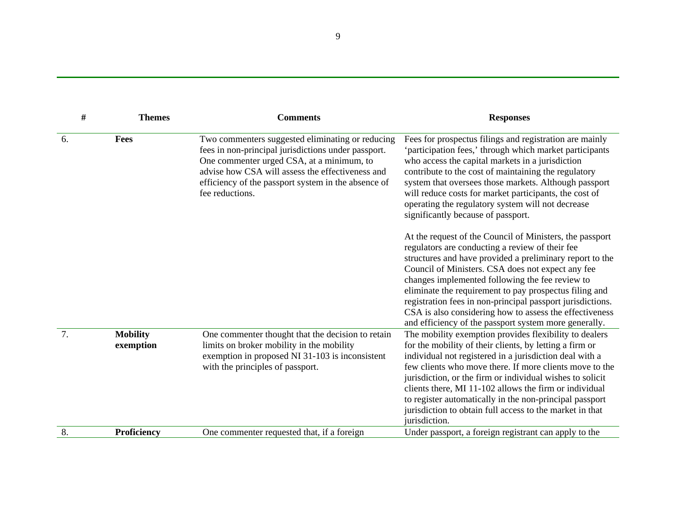| #  | <b>Themes</b>                | <b>Comments</b>                                                                                                                                                                                                                                                                    | <b>Responses</b>                                                                                                                                                                                                                                                                                                                                                                                                                                                                                                            |
|----|------------------------------|------------------------------------------------------------------------------------------------------------------------------------------------------------------------------------------------------------------------------------------------------------------------------------|-----------------------------------------------------------------------------------------------------------------------------------------------------------------------------------------------------------------------------------------------------------------------------------------------------------------------------------------------------------------------------------------------------------------------------------------------------------------------------------------------------------------------------|
| 6. | Fees                         | Two commenters suggested eliminating or reducing<br>fees in non-principal jurisdictions under passport.<br>One commenter urged CSA, at a minimum, to<br>advise how CSA will assess the effectiveness and<br>efficiency of the passport system in the absence of<br>fee reductions. | Fees for prospectus filings and registration are mainly<br>'participation fees,' through which market participants<br>who access the capital markets in a jurisdiction<br>contribute to the cost of maintaining the regulatory<br>system that oversees those markets. Although passport<br>will reduce costs for market participants, the cost of<br>operating the regulatory system will not decrease<br>significantly because of passport.                                                                                |
|    |                              |                                                                                                                                                                                                                                                                                    | At the request of the Council of Ministers, the passport<br>regulators are conducting a review of their fee<br>structures and have provided a preliminary report to the<br>Council of Ministers. CSA does not expect any fee<br>changes implemented following the fee review to<br>eliminate the requirement to pay prospectus filing and<br>registration fees in non-principal passport jurisdictions.<br>CSA is also considering how to assess the effectiveness<br>and efficiency of the passport system more generally. |
| 7. | <b>Mobility</b><br>exemption | One commenter thought that the decision to retain<br>limits on broker mobility in the mobility<br>exemption in proposed NI 31-103 is inconsistent<br>with the principles of passport.                                                                                              | The mobility exemption provides flexibility to dealers<br>for the mobility of their clients, by letting a firm or<br>individual not registered in a jurisdiction deal with a<br>few clients who move there. If more clients move to the<br>jurisdiction, or the firm or individual wishes to solicit<br>clients there, MI 11-102 allows the firm or individual<br>to register automatically in the non-principal passport<br>jurisdiction to obtain full access to the market in that<br>jurisdiction.                      |
| 8. | Proficiency                  | One commenter requested that, if a foreign                                                                                                                                                                                                                                         | Under passport, a foreign registrant can apply to the                                                                                                                                                                                                                                                                                                                                                                                                                                                                       |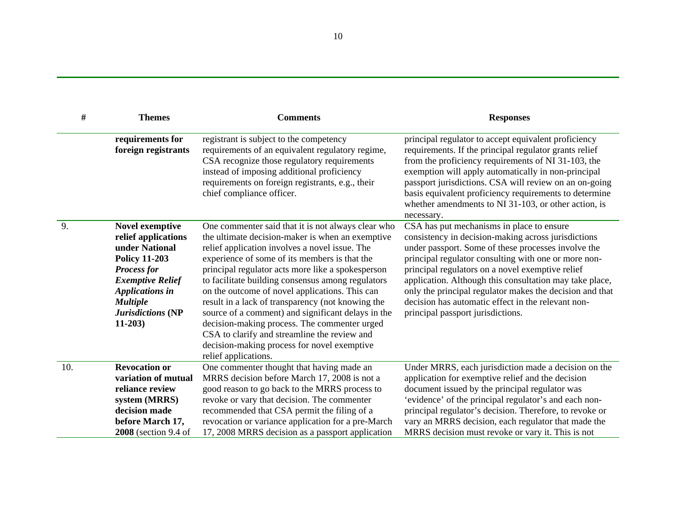| #   | <b>Themes</b>                                                                                                                                                                                                          | <b>Comments</b>                                                                                                                                                                                                                                                                                                                                                                                                                                                                                                                                                                                                                                         | <b>Responses</b>                                                                                                                                                                                                                                                                                                                                                                                                                                                                      |
|-----|------------------------------------------------------------------------------------------------------------------------------------------------------------------------------------------------------------------------|---------------------------------------------------------------------------------------------------------------------------------------------------------------------------------------------------------------------------------------------------------------------------------------------------------------------------------------------------------------------------------------------------------------------------------------------------------------------------------------------------------------------------------------------------------------------------------------------------------------------------------------------------------|---------------------------------------------------------------------------------------------------------------------------------------------------------------------------------------------------------------------------------------------------------------------------------------------------------------------------------------------------------------------------------------------------------------------------------------------------------------------------------------|
|     | requirements for<br>foreign registrants                                                                                                                                                                                | registrant is subject to the competency<br>requirements of an equivalent regulatory regime,<br>CSA recognize those regulatory requirements<br>instead of imposing additional proficiency<br>requirements on foreign registrants, e.g., their<br>chief compliance officer.                                                                                                                                                                                                                                                                                                                                                                               | principal regulator to accept equivalent proficiency<br>requirements. If the principal regulator grants relief<br>from the proficiency requirements of NI 31-103, the<br>exemption will apply automatically in non-principal<br>passport jurisdictions. CSA will review on an on-going<br>basis equivalent proficiency requirements to determine<br>whether amendments to NI 31-103, or other action, is<br>necessary.                                                                |
| 9.  | <b>Novel exemptive</b><br>relief applications<br>under National<br><b>Policy 11-203</b><br><b>Process for</b><br><b>Exemptive Relief</b><br><b>Applications in</b><br><b>Multiple</b><br>Jurisdictions (NP<br>$11-203$ | One commenter said that it is not always clear who<br>the ultimate decision-maker is when an exemptive<br>relief application involves a novel issue. The<br>experience of some of its members is that the<br>principal regulator acts more like a spokesperson<br>to facilitate building consensus among regulators<br>on the outcome of novel applications. This can<br>result in a lack of transparency (not knowing the<br>source of a comment) and significant delays in the<br>decision-making process. The commenter urged<br>CSA to clarify and streamline the review and<br>decision-making process for novel exemptive<br>relief applications. | CSA has put mechanisms in place to ensure<br>consistency in decision-making across jurisdictions<br>under passport. Some of these processes involve the<br>principal regulator consulting with one or more non-<br>principal regulators on a novel exemptive relief<br>application. Although this consultation may take place,<br>only the principal regulator makes the decision and that<br>decision has automatic effect in the relevant non-<br>principal passport jurisdictions. |
| 10. | <b>Revocation or</b><br>variation of mutual<br>reliance review<br>system (MRRS)<br>decision made<br>before March 17,<br>2008 (section 9.4 of                                                                           | One commenter thought that having made an<br>MRRS decision before March 17, 2008 is not a<br>good reason to go back to the MRRS process to<br>revoke or vary that decision. The commenter<br>recommended that CSA permit the filing of a<br>revocation or variance application for a pre-March<br>17, 2008 MRRS decision as a passport application                                                                                                                                                                                                                                                                                                      | Under MRRS, each jurisdiction made a decision on the<br>application for exemptive relief and the decision<br>document issued by the principal regulator was<br>'evidence' of the principal regulator's and each non-<br>principal regulator's decision. Therefore, to revoke or<br>vary an MRRS decision, each regulator that made the<br>MRRS decision must revoke or vary it. This is not                                                                                           |